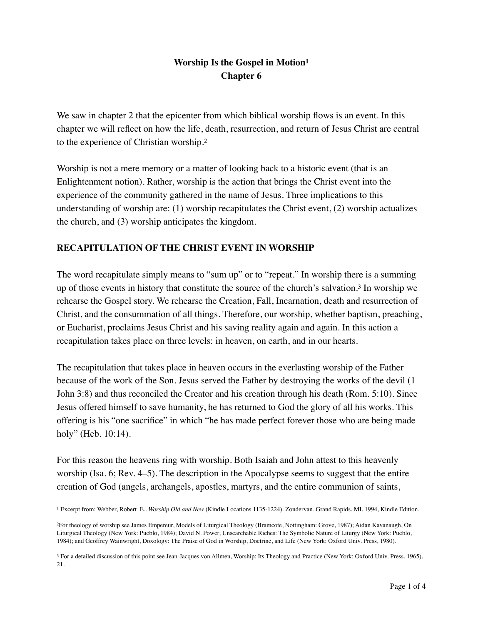# <span id="page-0-5"></span><span id="page-0-4"></span><span id="page-0-3"></span>**Worship Is the Gospel in Motion[1](#page-0-0) Chapter 6**

We saw in chapter 2 that the epicenter from which biblical worship flows is an event. In this chapter we will reflect on how the life, death, resurrection, and return of Jesus Christ are central to the experience of Christian worship.[2](#page-0-1)

Worship is not a mere memory or a matter of looking back to a historic event (that is an Enlightenment notion). Rather, worship is the action that brings the Christ event into the experience of the community gathered in the name of Jesus. Three implications to this understanding of worship are: (1) worship recapitulates the Christ event, (2) worship actualizes the church, and (3) worship anticipates the kingdom.

# **RECAPITULATION OF THE CHRIST EVENT IN WORSHIP**

The word recapitulate simply means to "sum up" or to "repeat." In worship there is a summing upof those events in history that constitute the source of the church's salvation.<sup>[3](#page-0-2)</sup> In worship we rehearse the Gospel story. We rehearse the Creation, Fall, Incarnation, death and resurrection of Christ, and the consummation of all things. Therefore, our worship, whether baptism, preaching, or Eucharist, proclaims Jesus Christ and his saving reality again and again. In this action a recapitulation takes place on three levels: in heaven, on earth, and in our hearts.

The recapitulation that takes place in heaven occurs in the everlasting worship of the Father because of the work of the Son. Jesus served the Father by destroying the works of the devil (1 John 3:8) and thus reconciled the Creator and his creation through his death (Rom. 5:10). Since Jesus offered himself to save humanity, he has returned to God the glory of all his works. This offering is his "one sacrifice" in which "he has made perfect forever those who are being made holy" (Heb. 10:14).

For this reason the heavens ring with worship. Both Isaiah and John attest to this heavenly worship (Isa. 6; Rev. 4–5). The description in the Apocalypse seems to suggest that the entire creation of God (angels, archangels, apostles, martyrs, and the entire communion of saints,

<span id="page-0-0"></span><sup>&</sup>lt;sup>[1](#page-0-3)</sup> Excerpt from: Webber, Robert E.. *Worship Old and New* (Kindle Locations 1135-1224). Zondervan. Grand Rapids, MI, 1994, Kindle Edition.

<span id="page-0-1"></span>[F](#page-0-4)or theology of worship see James Empereur, Models of Liturgical Theology (Bramcote, Nottingham: Grove, 1987); Aidan Kavanaugh, On [2](#page-0-4) Liturgical Theology (New York: Pueblo, 1984); David N. Power, Unsearchable Riches: The Symbolic Nature of Liturgy (New York: Pueblo, 1984); and Geoffrey Wainwright, Doxology: The Praise of God in Worship, Doctrine, and Life (New York: Oxford Univ. Press, 1980).

<span id="page-0-2"></span><sup>&</sup>lt;sup>3</sup>For a detailed discussion of this point see Jean-Jacques von Allmen, Worship: Its Theology and Practice (New York: Oxford Univ. Press, 1965), 21.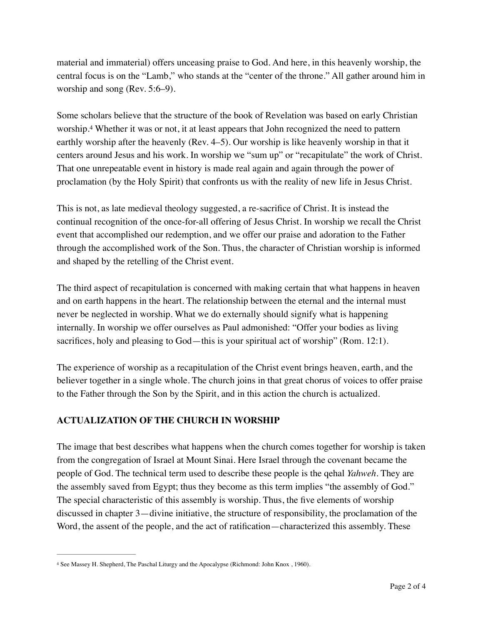material and immaterial) offers unceasing praise to God. And here, in this heavenly worship, the central focus is on the "Lamb," who stands at the "center of the throne." All gather around him in worship and song (Rev. 5:6–9).

<span id="page-1-1"></span>Some scholars believe that the structure of the book of Revelation was based on early Christian worship.<sup>4</sup>Whether it was or not, it at least appears that John recognized the need to pattern earthly worship after the heavenly (Rev. 4–5). Our worship is like heavenly worship in that it centers around Jesus and his work. In worship we "sum up" or "recapitulate" the work of Christ. That one unrepeatable event in history is made real again and again through the power of proclamation (by the Holy Spirit) that confronts us with the reality of new life in Jesus Christ.

This is not, as late medieval theology suggested, a re-sacrifice of Christ. It is instead the continual recognition of the once-for-all offering of Jesus Christ. In worship we recall the Christ event that accomplished our redemption, and we offer our praise and adoration to the Father through the accomplished work of the Son. Thus, the character of Christian worship is informed and shaped by the retelling of the Christ event.

The third aspect of recapitulation is concerned with making certain that what happens in heaven and on earth happens in the heart. The relationship between the eternal and the internal must never be neglected in worship. What we do externally should signify what is happening internally. In worship we offer ourselves as Paul admonished: "Offer your bodies as living sacrifices, holy and pleasing to God—this is your spiritual act of worship" (Rom. 12:1).

The experience of worship as a recapitulation of the Christ event brings heaven, earth, and the believer together in a single whole. The church joins in that great chorus of voices to offer praise to the Father through the Son by the Spirit, and in this action the church is actualized.

### **ACTUALIZATION OF THE CHURCH IN WORSHIP**

The image that best describes what happens when the church comes together for worship is taken from the congregation of Israel at Mount Sinai. Here Israel through the covenant became the people of God. The technical term used to describe these people is the qehal *Yahweh*. They are the assembly saved from Egypt; thus they become as this term implies "the assembly of God." The special characteristic of this assembly is worship. Thus, the five elements of worship discussed in chapter 3—divine initiative, the structure of responsibility, the proclamation of the Word, the assent of the people, and the act of ratification—characterized this assembly. These

<span id="page-1-0"></span><sup>&</sup>lt;sup>[4](#page-1-1)</sup> See Massey H. Shepherd, The Paschal Liturgy and the Apocalypse (Richmond: John Knox , 1960).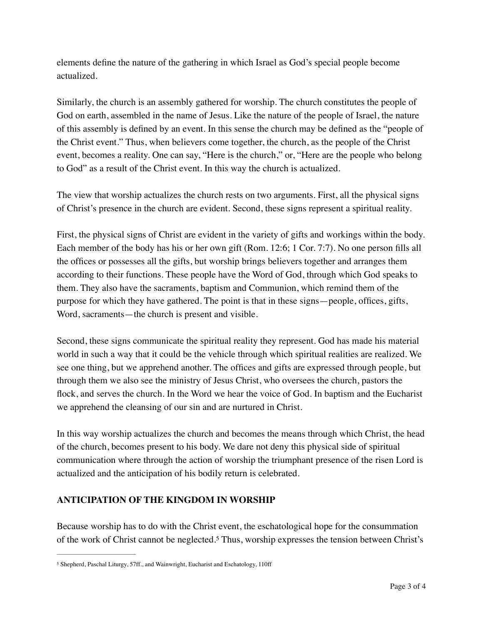elements define the nature of the gathering in which Israel as God's special people become actualized.

Similarly, the church is an assembly gathered for worship. The church constitutes the people of God on earth, assembled in the name of Jesus. Like the nature of the people of Israel, the nature of this assembly is defined by an event. In this sense the church may be defined as the "people of the Christ event." Thus, when believers come together, the church, as the people of the Christ event, becomes a reality. One can say, "Here is the church," or, "Here are the people who belong to God" as a result of the Christ event. In this way the church is actualized.

The view that worship actualizes the church rests on two arguments. First, all the physical signs of Christ's presence in the church are evident. Second, these signs represent a spiritual reality.

First, the physical signs of Christ are evident in the variety of gifts and workings within the body. Each member of the body has his or her own gift (Rom. 12:6; 1 Cor. 7:7). No one person fills all the offices or possesses all the gifts, but worship brings believers together and arranges them according to their functions. These people have the Word of God, through which God speaks to them. They also have the sacraments, baptism and Communion, which remind them of the purpose for which they have gathered. The point is that in these signs—people, offices, gifts, Word, sacraments—the church is present and visible.

Second, these signs communicate the spiritual reality they represent. God has made his material world in such a way that it could be the vehicle through which spiritual realities are realized. We see one thing, but we apprehend another. The offices and gifts are expressed through people, but through them we also see the ministry of Jesus Christ, who oversees the church, pastors the flock, and serves the church. In the Word we hear the voice of God. In baptism and the Eucharist we apprehend the cleansing of our sin and are nurtured in Christ.

In this way worship actualizes the church and becomes the means through which Christ, the head of the church, becomes present to his body. We dare not deny this physical side of spiritual communication where through the action of worship the triumphant presence of the risen Lord is actualized and the anticipation of his bodily return is celebrated.

### **ANTICIPATION OF THE KINGDOM IN WORSHIP**

<span id="page-2-1"></span>Because worship has to do with the Christ event, the eschatological hope for the consummation ofthe work of Christ cannot be neglected.<sup>[5](#page-2-0)</sup> Thus, worship expresses the tension between Christ's

<span id="page-2-0"></span><sup>&</sup>lt;sup>[5](#page-2-1)</sup> Shepherd, Paschal Liturgy, 57ff., and Wainwright, Eucharist and Eschatology, 110ff